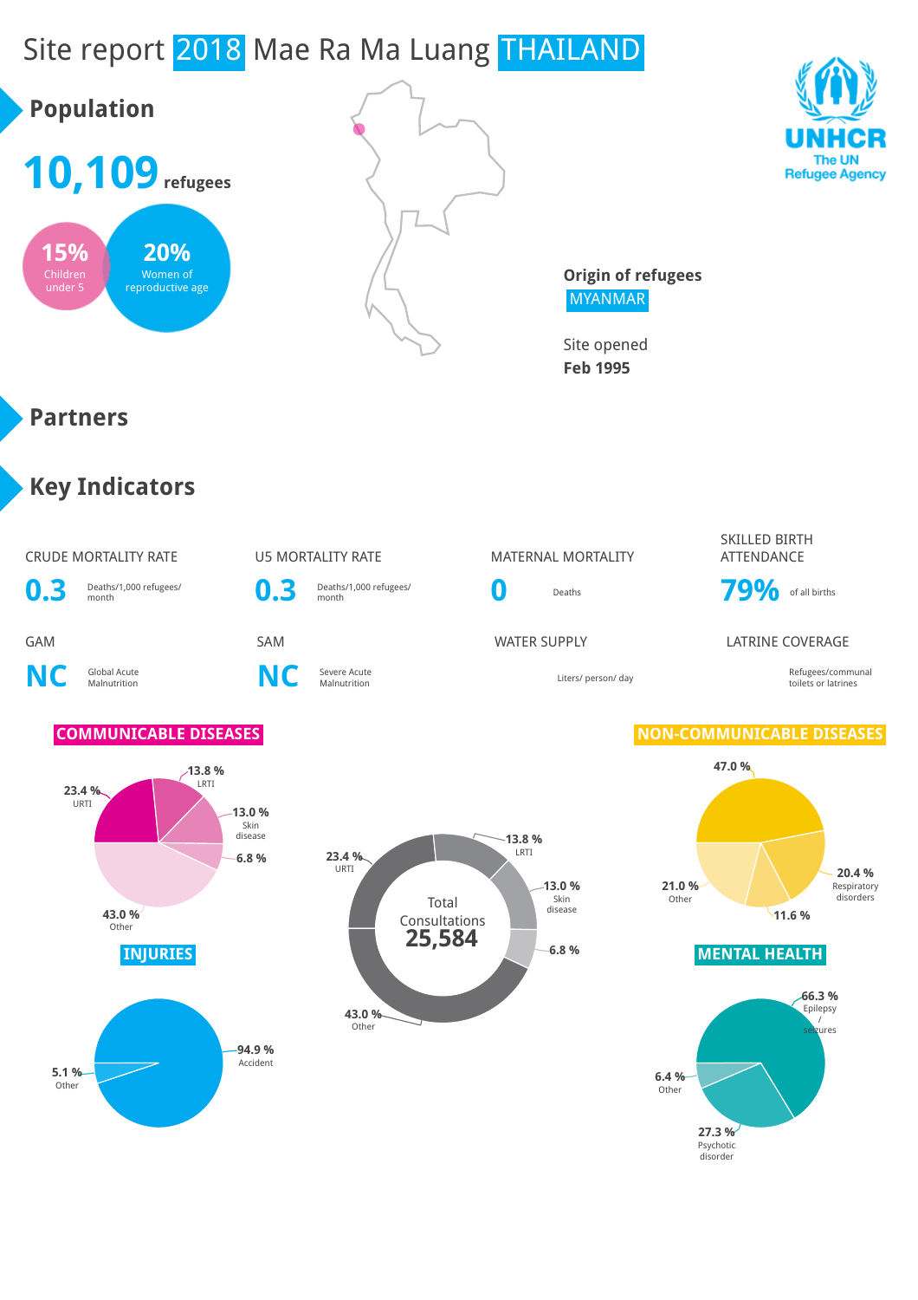# Site report 2018 Mae Ra Ma Luang THAILAND



**94.9 %** Accident



**Origin of refugees** MYANMAR

> **27.3 %** Psychotic disorder

**6.4 %** Other

Site opened **Feb 1995**

#### **Partners**

**5.1 % Other** 

## **Key Indicators**

#### CRUDE MORTALITY RATE U5 MORTALITY RATE MATERNAL MORTALITY SKILLED BIRTH **ATTFNDANCE** 0.3 Deaths/1,000 refugees/ **0.3** Deaths/1,000 refugees/ **0** Deaths **79%** of all births GAM SAM SAM SAM WATER SUPPLY LATRINE COVERAGE **NC** Global Acute **C** Severe Acute<br>Malnutrition **NC** Severe Acute Malnutrition Liters/ person/ day Refugees/communal toilets or latrines **COMMUNICABLE DISEASES NON-COMMUNICABLE DISEASES INJURIES MENTAL HEALTH 23.4 %** URTI **13.8 %** LRTI **13.0 %** Skin disease **6.8 % 43.0 %** Other **47.0 % 20.4 %** Respiratory disorders **11.6 % 21.0 %** Other **66.3 %** Epilepsy / ures Total Consultations **23.4 %** URTI **13.8 %** LRTI **13.0 %** Skin disease **6.8 % 43.0 %** Other **25,584**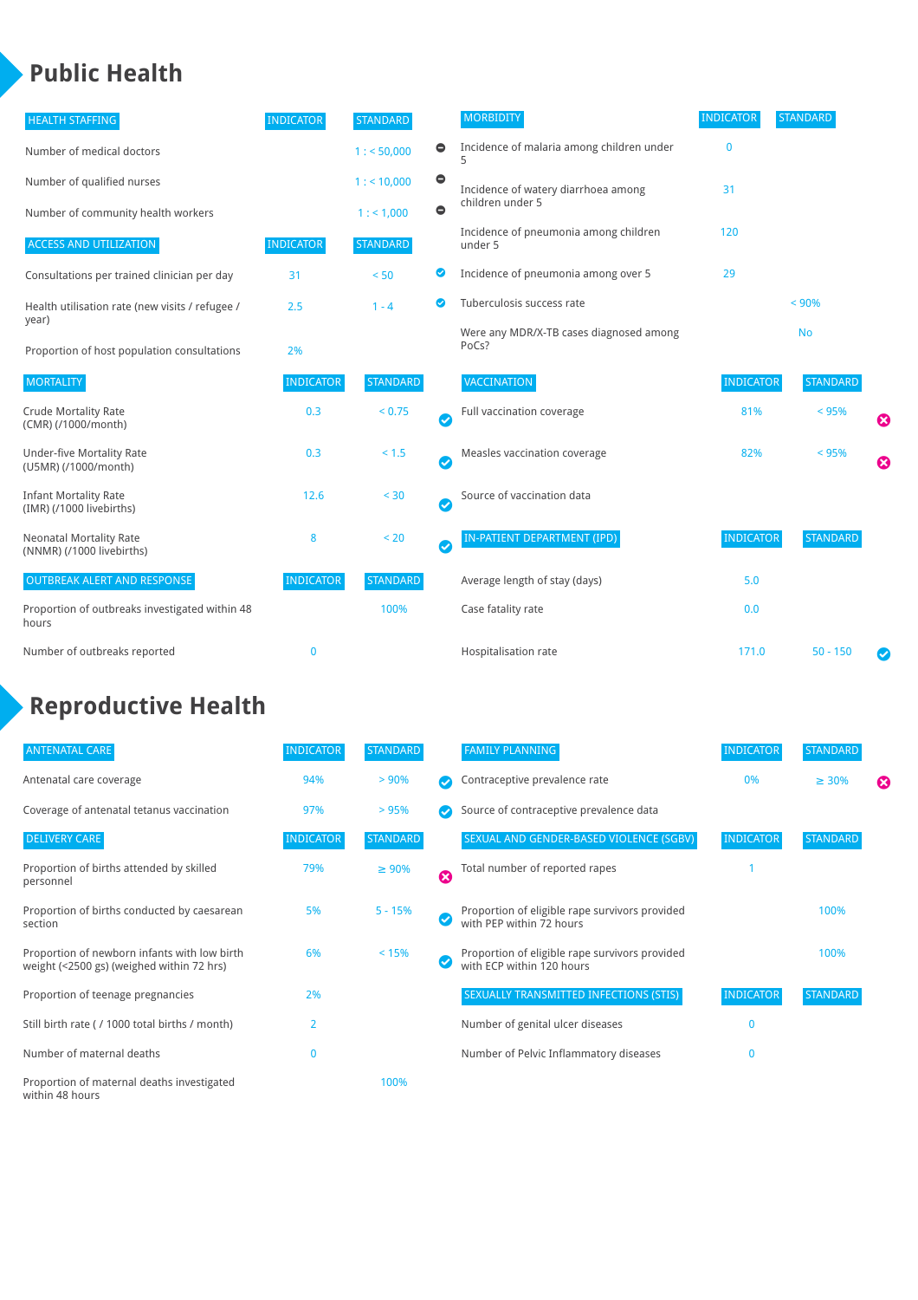#### **Public Health**

| <b>HEALTH STAFFING</b>                                      | <b>INDICATOR</b> | <b>STANDARD</b> |           | <b>MORBIDITY</b>                                 | <b>INDICATOR</b> | <b>STANDARD</b> |   |
|-------------------------------------------------------------|------------------|-----------------|-----------|--------------------------------------------------|------------------|-----------------|---|
| Number of medical doctors                                   |                  | 1: 50,000       | $\bullet$ | Incidence of malaria among children under        | $\bf{0}$         |                 |   |
| Number of qualified nurses                                  |                  | 1:10,000        | $\bullet$ | Incidence of watery diarrhoea among              | 31               |                 |   |
| Number of community health workers                          |                  | 1: 1,000        | $\bullet$ | children under 5                                 |                  |                 |   |
| <b>ACCESS AND UTILIZATION</b>                               | <b>INDICATOR</b> | <b>STANDARD</b> |           | Incidence of pneumonia among children<br>under 5 | 120              |                 |   |
| Consultations per trained clinician per day                 | 31               | < 50            | ◉         | Incidence of pneumonia among over 5              | 29               |                 |   |
| Health utilisation rate (new visits / refugee /             | 2.5              | $1 - 4$         | ◙         | Tuberculosis success rate                        |                  | < 90%           |   |
| year)<br>Proportion of host population consultations        | 2%               |                 |           | Were any MDR/X-TB cases diagnosed among<br>PoCs? |                  | <b>No</b>       |   |
| <b>MORTALITY</b>                                            | <b>INDICATOR</b> | <b>STANDARD</b> |           | VACCINATION                                      | <b>INDICATOR</b> | <b>STANDARD</b> |   |
| <b>Crude Mortality Rate</b><br>(CMR) (/1000/month)          | 0.3              | < 0.75          | Ø         | Full vaccination coverage                        | 81%              | < 95%           | Ø |
| <b>Under-five Mortality Rate</b><br>(U5MR) (/1000/month)    | 0.3              | < 1.5           | Ø         | Measles vaccination coverage                     | 82%              | < 95%           | Ø |
| <b>Infant Mortality Rate</b><br>(IMR) (/1000 livebirths)    | 12.6             | < 30            | Ø         | Source of vaccination data                       |                  |                 |   |
| <b>Neonatal Mortality Rate</b><br>(NNMR) (/1000 livebirths) | 8                | < 20            | $\bullet$ | IN-PATIENT DEPARTMENT (IPD)                      | <b>INDICATOR</b> | <b>STANDARD</b> |   |
| <b>OUTBREAK ALERT AND RESPONSE</b>                          | <b>INDICATOR</b> | <b>STANDARD</b> |           | Average length of stay (days)                    | 5.0              |                 |   |
| Proportion of outbreaks investigated within 48<br>hours     |                  | 100%            |           | Case fatality rate                               | 0.0              |                 |   |
| Number of outbreaks reported                                | $\mathbf{0}$     |                 |           | Hospitalisation rate                             | 171.0            | $50 - 150$      |   |

## **Reproductive Health**

| <b>ANTENATAL CARE</b>                                                                     | <b>INDICATOR</b> | <b>STANDARD</b> |   | <b>FAMILY PLANNING</b>                                                      | <b>INDICATOR</b> | <b>STANDARD</b> |   |
|-------------------------------------------------------------------------------------------|------------------|-----------------|---|-----------------------------------------------------------------------------|------------------|-----------------|---|
| Antenatal care coverage                                                                   | 94%              | > 90%           |   | Contraceptive prevalence rate                                               | 0%               | $\geq 30\%$     | ⊠ |
| Coverage of antenatal tetanus vaccination                                                 | 97%              | >95%            |   | Source of contraceptive prevalence data                                     |                  |                 |   |
| <b>DELIVERY CARE</b>                                                                      | <b>INDICATOR</b> | <b>STANDARD</b> |   | SEXUAL AND GENDER-BASED VIOLENCE (SGBV)                                     | <b>INDICATOR</b> | <b>STANDARD</b> |   |
| Proportion of births attended by skilled<br>personnel                                     | 79%              | $\geq 90\%$     | Ø | Total number of reported rapes                                              |                  |                 |   |
| Proportion of births conducted by caesarean<br>section                                    | 5%               | $5 - 15%$       |   | Proportion of eligible rape survivors provided<br>with PEP within 72 hours  |                  | 100%            |   |
| Proportion of newborn infants with low birth<br>weight (<2500 gs) (weighed within 72 hrs) | 6%               | < 15%           |   | Proportion of eligible rape survivors provided<br>with ECP within 120 hours |                  | 100%            |   |
| Proportion of teenage pregnancies                                                         | 2%               |                 |   | SEXUALLY TRANSMITTED INFECTIONS (STIS)                                      | <b>INDICATOR</b> | <b>STANDARD</b> |   |
| Still birth rate (/1000 total births / month)                                             | $\overline{2}$   |                 |   | Number of genital ulcer diseases                                            | $\Omega$         |                 |   |
| Number of maternal deaths                                                                 | $\mathbf{0}$     |                 |   | Number of Pelvic Inflammatory diseases                                      | $\mathbf{0}$     |                 |   |
| Proportion of maternal deaths investigated<br>within 48 hours                             |                  | 100%            |   |                                                                             |                  |                 |   |